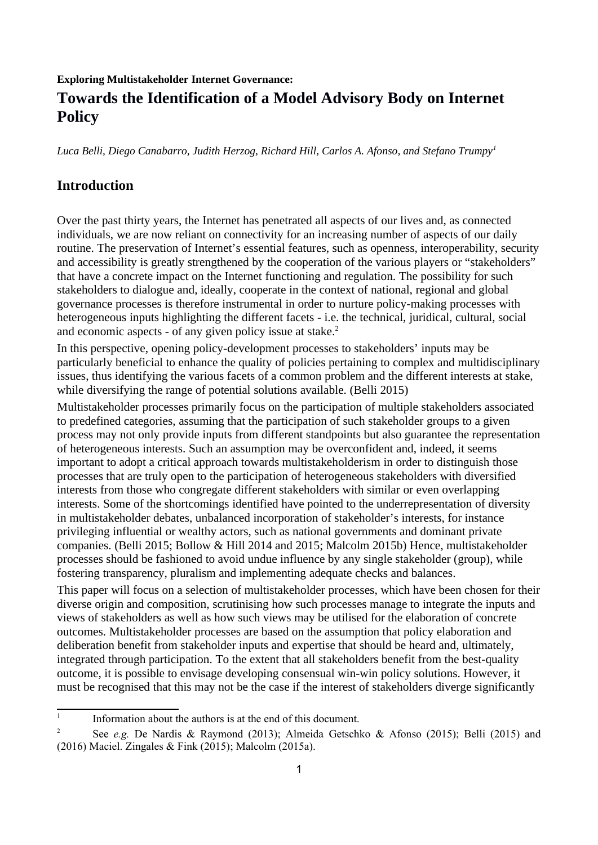#### **Exploring Multistakeholder Internet Governance:**

# **Towards the Identification of a Model Advisory Body on Internet Policy**

*Luca Belli, Diego Canabarro, Judith Herzog, Richard Hill, Carlos A. Afonso, and Stefano Trumpy[1](#page-0-0)*

### **Introduction**

Over the past thirty years, the Internet has penetrated all aspects of our lives and, as connected individuals, we are now reliant on connectivity for an increasing number of aspects of our daily routine. The preservation of Internet's essential features, such as openness, interoperability, security and accessibility is greatly strengthened by the cooperation of the various players or "stakeholders" that have a concrete impact on the Internet functioning and regulation. The possibility for such stakeholders to dialogue and, ideally, cooperate in the context of national, regional and global governance processes is therefore instrumental in order to nurture policy-making processes with heterogeneous inputs highlighting the different facets - i.e. the technical, juridical, cultural, social and economic aspects - of any given policy issue at stake. $2$ 

In this perspective, opening policy-development processes to stakeholders' inputs may be particularly beneficial to enhance the quality of policies pertaining to complex and multidisciplinary issues, thus identifying the various facets of a common problem and the different interests at stake, while diversifying the range of potential solutions available. (Belli 2015)

Multistakeholder processes primarily focus on the participation of multiple stakeholders associated to predefined categories, assuming that the participation of such stakeholder groups to a given process may not only provide inputs from different standpoints but also guarantee the representation of heterogeneous interests. Such an assumption may be overconfident and, indeed, it seems important to adopt a critical approach towards multistakeholderism in order to distinguish those processes that are truly open to the participation of heterogeneous stakeholders with diversified interests from those who congregate different stakeholders with similar or even overlapping interests. Some of the shortcomings identified have pointed to the underrepresentation of diversity in multistakeholder debates, unbalanced incorporation of stakeholder's interests, for instance privileging influential or wealthy actors, such as national governments and dominant private companies. (Belli 2015; Bollow & Hill 2014 and 2015; Malcolm 2015b) Hence, multistakeholder processes should be fashioned to avoid undue influence by any single stakeholder (group), while fostering transparency, pluralism and implementing adequate checks and balances.

This paper will focus on a selection of multistakeholder processes, which have been chosen for their diverse origin and composition, scrutinising how such processes manage to integrate the inputs and views of stakeholders as well as how such views may be utilised for the elaboration of concrete outcomes. Multistakeholder processes are based on the assumption that policy elaboration and deliberation benefit from stakeholder inputs and expertise that should be heard and, ultimately, integrated through participation. To the extent that all stakeholders benefit from the best-quality outcome, it is possible to envisage developing consensual win-win policy solutions. However, it must be recognised that this may not be the case if the interest of stakeholders diverge significantly

<span id="page-0-0"></span><sup>1</sup> Information about the authors is at the end of this document.

<span id="page-0-1"></span><sup>2</sup> See *e.g.* De Nardis & Raymond (2013); Almeida Getschko & Afonso (2015); Belli (2015) and (2016) Maciel. Zingales & Fink (2015); Malcolm (2015a).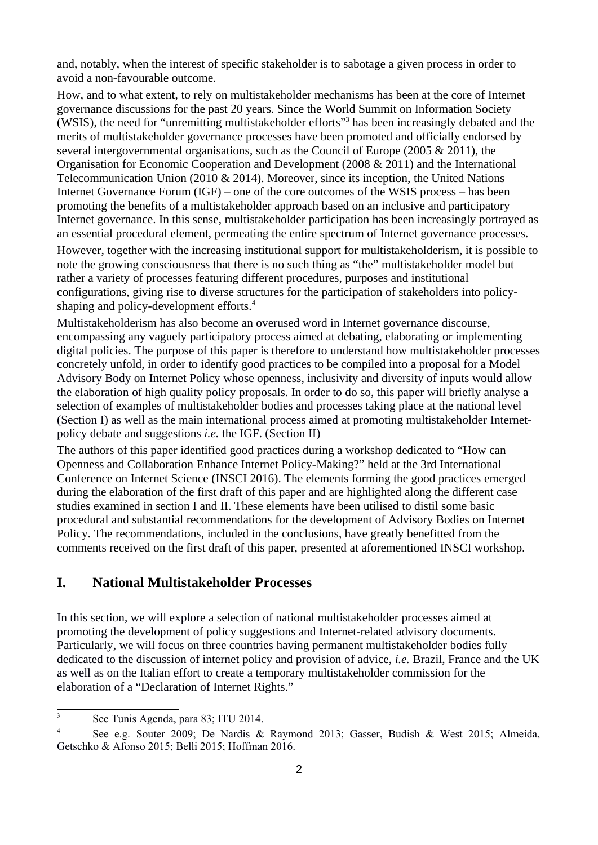and, notably, when the interest of specific stakeholder is to sabotage a given process in order to avoid a non-favourable outcome.

How, and to what extent, to rely on multistakeholder mechanisms has been at the core of Internet governance discussions for the past 20 years. Since the World Summit on Information Society (WSIS), the need for "unremitting multistakeholder efforts"<sup>[3](#page-1-0)</sup> has been increasingly debated and the merits of multistakeholder governance processes have been promoted and officially endorsed by several intergovernmental organisations, such as the Council of Europe (2005 & 2011), the Organisation for Economic Cooperation and Development (2008 & 2011) and the International Telecommunication Union (2010 & 2014). Moreover, since its inception, the United Nations Internet Governance Forum (IGF) – one of the core outcomes of the WSIS process – has been promoting the benefits of a multistakeholder approach based on an inclusive and participatory Internet governance. In this sense, multistakeholder participation has been increasingly portrayed as an essential procedural element, permeating the entire spectrum of Internet governance processes.

However, together with the increasing institutional support for multistakeholderism, it is possible to note the growing consciousness that there is no such thing as "the" multistakeholder model but rather a variety of processes featuring different procedures, purposes and institutional configurations, giving rise to diverse structures for the participation of stakeholders into policy-shaping and policy-development efforts.<sup>[4](#page-1-1)</sup>

Multistakeholderism has also become an overused word in Internet governance discourse, encompassing any vaguely participatory process aimed at debating, elaborating or implementing digital policies. The purpose of this paper is therefore to understand how multistakeholder processes concretely unfold, in order to identify good practices to be compiled into a proposal for a Model Advisory Body on Internet Policy whose openness, inclusivity and diversity of inputs would allow the elaboration of high quality policy proposals. In order to do so, this paper will briefly analyse a selection of examples of multistakeholder bodies and processes taking place at the national level (Section I) as well as the main international process aimed at promoting multistakeholder Internetpolicy debate and suggestions *i.e.* the IGF. (Section II)

The authors of this paper identified good practices during a workshop dedicated to "How can Openness and Collaboration Enhance Internet Policy-Making?" held at the 3rd International Conference on Internet Science (INSCI 2016). The elements forming the good practices emerged during the elaboration of the first draft of this paper and are highlighted along the different case studies examined in section I and II. These elements have been utilised to distil some basic procedural and substantial recommendations for the development of Advisory Bodies on Internet Policy. The recommendations, included in the conclusions, have greatly benefitted from the comments received on the first draft of this paper, presented at aforementioned INSCI workshop.

### **I. National Multistakeholder Processes**

In this section, we will explore a selection of national multistakeholder processes aimed at promoting the development of policy suggestions and Internet-related advisory documents. Particularly, we will focus on three countries having permanent multistakeholder bodies fully dedicated to the discussion of internet policy and provision of advice, *i.e.* Brazil, France and the UK as well as on the Italian effort to create a temporary multistakeholder commission for the elaboration of a "Declaration of Internet Rights."

<span id="page-1-0"></span><sup>3</sup> See Tunis Agenda, para 83; ITU 2014.

<span id="page-1-1"></span><sup>4</sup> See e.g. Souter 2009; De Nardis & Raymond 2013; Gasser, Budish & West 2015; Almeida, Getschko & Afonso 2015; Belli 2015; Hoffman 2016.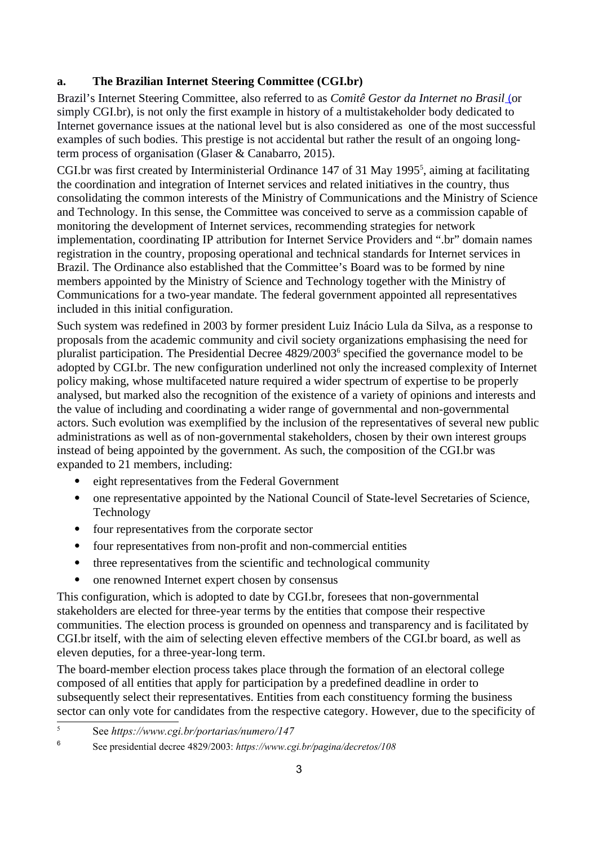### **a. The Brazilian Internet Steering Committee (CGI.br)**

Brazil's Internet Steering Committee, also referred to as *Comitê Gestor da Internet no Brasil* [\(](http://cgi.br/)or simply CGI.br), is not only the first example in history of a multistakeholder body dedicated to Internet governance issues at the national level but is also considered as one of the most successful examples of such bodies. This prestige is not accidental but rather the result of an ongoing longterm process of organisation (Glaser & Canabarro, 2015).

CGI.br was first created by Interministerial Ordinance 147 of 31 May 199[5](#page-2-0)<sup>5</sup>, aiming at facilitating the coordination and integration of Internet services and related initiatives in the country, thus consolidating the common interests of the Ministry of Communications and the Ministry of Science and Technology. In this sense, the Committee was conceived to serve as a commission capable of monitoring the development of Internet services, recommending strategies for network implementation, coordinating IP attribution for Internet Service Providers and ".br" domain names registration in the country, proposing operational and technical standards for Internet services in Brazil. The Ordinance also established that the Committee's Board was to be formed by nine members appointed by the Ministry of Science and Technology together with the Ministry of Communications for a two-year mandate. The federal government appointed all representatives included in this initial configuration.

Such system was redefined in 2003 by former president Luiz Inácio Lula da Silva, as a response to proposals from the academic community and civil society organizations emphasising the need for pluralist participation. The Presidential Decree 4829/2003<sup>[6](#page-2-1)</sup> specified the governance model to be adopted by CGI.br. The new configuration underlined not only the increased complexity of Internet policy making, whose multifaceted nature required a wider spectrum of expertise to be properly analysed, but marked also the recognition of the existence of a variety of opinions and interests and the value of including and coordinating a wider range of governmental and non-governmental actors. Such evolution was exemplified by the inclusion of the representatives of several new public administrations as well as of non-governmental stakeholders, chosen by their own interest groups instead of being appointed by the government. As such, the composition of the CGI.br was expanded to 21 members, including:

- eight representatives from the Federal Government
- one representative appointed by the National Council of State-level Secretaries of Science, Technology
- four representatives from the corporate sector
- four representatives from non-profit and non-commercial entities
- three representatives from the scientific and technological community
- one renowned Internet expert chosen by consensus

This configuration, which is adopted to date by CGI.br, foresees that non-governmental stakeholders are elected for three-year terms by the entities that compose their respective communities. The election process is grounded on openness and transparency and is facilitated by CGI.br itself, with the aim of selecting eleven effective members of the CGI.br board, as well as eleven deputies, for a three-year-long term.

The board-member election process takes place through the formation of an electoral college composed of all entities that apply for participation by a predefined deadline in order to subsequently select their representatives. Entities from each constituency forming the business sector can only vote for candidates from the respective category. However, due to the specificity of

<span id="page-2-0"></span><sup>5</sup> See *https://www.cgi.br/portarias/numero/147*

<span id="page-2-1"></span><sup>6</sup> See presidential decree 4829/2003: *https://www.cgi.br/pagina/decretos/108*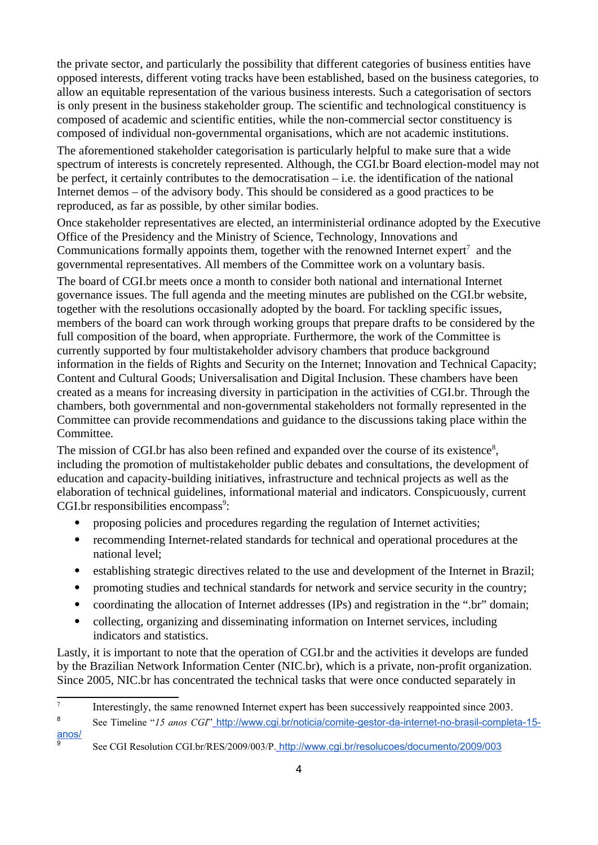the private sector, and particularly the possibility that different categories of business entities have opposed interests, different voting tracks have been established, based on the business categories, to allow an equitable representation of the various business interests. Such a categorisation of sectors is only present in the business stakeholder group. The scientific and technological constituency is composed of academic and scientific entities, while the non-commercial sector constituency is composed of individual non-governmental organisations, which are not academic institutions.

The aforementioned stakeholder categorisation is particularly helpful to make sure that a wide spectrum of interests is concretely represented. Although, the CGI.br Board election-model may not be perfect, it certainly contributes to the democratisation – i.e. the identification of the national Internet demos – of the advisory body. This should be considered as a good practices to be reproduced, as far as possible, by other similar bodies.

Once stakeholder representatives are elected, an interministerial ordinance adopted by the Executive Office of the Presidency and the Ministry of Science, Technology, Innovations and Communications formally appoints them, together with the renowned Internet expert<sup>[7](#page-3-0)</sup> and the governmental representatives. All members of the Committee work on a voluntary basis.

The board of CGI.br meets once a month to consider both national and international Internet governance issues. The full agenda and the meeting minutes are published on the CGI.br website, together with the resolutions occasionally adopted by the board. For tackling specific issues, members of the board can work through working groups that prepare drafts to be considered by the full composition of the board, when appropriate. Furthermore, the work of the Committee is currently supported by four multistakeholder advisory chambers that produce background information in the fields of Rights and Security on the Internet; Innovation and Technical Capacity; Content and Cultural Goods; Universalisation and Digital Inclusion. These chambers have been created as a means for increasing diversity in participation in the activities of CGI.br. Through the chambers, both governmental and non-governmental stakeholders not formally represented in the Committee can provide recommendations and guidance to the discussions taking place within the Committee.

The mission of CGI.br has also been refined and expanded over the course of its existence<sup>[8](#page-3-1)</sup>, including the promotion of multistakeholder public debates and consultations, the development of education and capacity-building initiatives, infrastructure and technical projects as well as the elaboration of technical guidelines, informational material and indicators. Conspicuously, current  $CGI.br$  responsibilities encompass<sup>[9](#page-3-2)</sup>:

- proposing policies and procedures regarding the regulation of Internet activities;
- recommending Internet-related standards for technical and operational procedures at the national level;
- establishing strategic directives related to the use and development of the Internet in Brazil;
- promoting studies and technical standards for network and service security in the country;
- coordinating the allocation of Internet addresses (IPs) and registration in the ".br" domain;
- collecting, organizing and disseminating information on Internet services, including indicators and statistics.

Lastly, it is important to note that the operation of CGI.br and the activities it develops are funded by the Brazilian Network Information Center (NIC.br), which is a private, non-profit organization. Since 2005, NIC.br has concentrated the technical tasks that were once conducted separately in

<span id="page-3-2"></span>9

<span id="page-3-0"></span><sup>7</sup> Interestingly, the same renowned Internet expert has been successively reappointed since 2003.

<span id="page-3-1"></span><sup>8</sup> See Timeline "*15 anos CGI*" [http://www.cgi.br/noticia/comite-gestor-da-internet-no-brasil-completa-15](http://www.cgi.br/noticia/comite-gestor-da-internet-no-brasil-completa-15-anos/) [anos/](http://www.cgi.br/noticia/comite-gestor-da-internet-no-brasil-completa-15-anos/)

See CGI Resolution CGI.br/RES/2009/003/P.<http://www.cgi.br/resolucoes/documento/2009/003>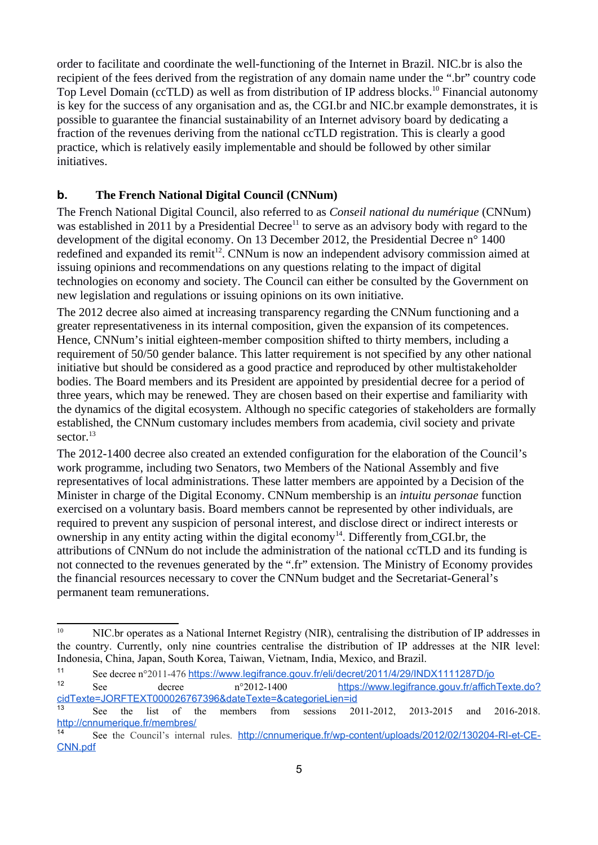order to facilitate and coordinate the well-functioning of the Internet in Brazil. NIC.br is also the recipient of the fees derived from the registration of any domain name under the ".br" country code Top Level Domain (ccTLD) as well as from distribution of IP address blocks.<sup>[10](#page-4-0)</sup> Financial autonomy is key for the success of any organisation and as, the CGI.br and NIC.br example demonstrates, it is possible to guarantee the financial sustainability of an Internet advisory board by dedicating a fraction of the revenues deriving from the national ccTLD registration. This is clearly a good practice, which is relatively easily implementable and should be followed by other similar initiatives.

#### **b. The French National Digital Council (CNNum)**

The French National Digital Council, also referred to as *Conseil national du numérique* (CNNum) was established in 20[11](#page-4-1) by a Presidential Decree<sup>11</sup> to serve as an advisory body with regard to the development of the digital economy. On 13 December 2012, the Presidential Decree n<sup>o</sup> 1400 redefined and expanded its remit<sup>[12](#page-4-2)</sup>. CNNum is now an independent advisory commission aimed at issuing opinions and recommendations on any questions relating to the impact of digital technologies on economy and society. The Council can either be consulted by the Government on new legislation and regulations or issuing opinions on its own initiative.

The 2012 decree also aimed at increasing transparency regarding the CNNum functioning and a greater representativeness in its internal composition, given the expansion of its competences. Hence, CNNum's initial eighteen-member composition shifted to thirty members, including a requirement of 50/50 gender balance. This latter requirement is not specified by any other national initiative but should be considered as a good practice and reproduced by other multistakeholder bodies. The Board members and its President are appointed by presidential decree for a period of three years, which may be renewed. They are chosen based on their expertise and familiarity with the dynamics of the digital ecosystem. Although no specific categories of stakeholders are formally established, the CNNum customary includes members from academia, civil society and private sector.<sup>[13](#page-4-3)</sup>

The 2012-1400 decree also created an extended configuration for the elaboration of the Council's work programme, including two Senators, two Members of the National Assembly and five representatives of local administrations. These latter members are appointed by a Decision of the Minister in charge of the Digital Economy. CNNum membership is an *intuitu personae* function exercised on a voluntary basis. Board members cannot be represented by other individuals, are required to prevent any suspicion of personal interest, and disclose direct or indirect interests or ownership in any entity acting within the digital economy<sup>[14](#page-4-4)</sup>. Differently from CGI.br, the attributions of CNNum do not include the administration of the national ccTLD and its funding is not connected to the revenues generated by the ".fr" extension. The Ministry of Economy provides the financial resources necessary to cover the CNNum budget and the Secretariat-General's permanent team remunerations.

<span id="page-4-0"></span><sup>&</sup>lt;sup>10</sup> NIC.br operates as a National Internet Registry (NIR), centralising the distribution of IP addresses in the country. Currently, only nine countries centralise the distribution of IP addresses at the NIR level: Indonesia, China, Japan, South Korea, Taiwan, Vietnam, India, Mexico, and Brazil.

<span id="page-4-1"></span><sup>11</sup> See decree n°2011-476 <https://www.legifrance.gouv.fr/eli/decret/2011/4/29/INDX1111287D/jo>

<span id="page-4-2"></span><sup>12</sup> See decree n°2012-1400 [https://www.legifrance.gouv.fr/affichTexte.do?](https://www.legifrance.gouv.fr/affichTexte.do?cidTexte=JORFTEXT000026767396&dateTexte=&categorieLien=id) [cidTexte=JORFTEXT000026767396&dateTexte=&categorieLien=id](https://www.legifrance.gouv.fr/affichTexte.do?cidTexte=JORFTEXT000026767396&dateTexte=&categorieLien=id)

<span id="page-4-3"></span><sup>&</sup>lt;sup>13</sup> See the list of the members from sessions 2011-2012, 2013-2015 and 2016-2018. <http://cnnumerique.fr/membres/>

<span id="page-4-4"></span><sup>14</sup> See the Council's internal rules. [http://cnnumerique.fr/wp-content/uploads/2012/02/130204-RI-et-CE-](http://cnnumerique.fr/wp-content/uploads/2012/02/130204-RI-et-CE-CNN.pdf)[CNN.pdf](http://cnnumerique.fr/wp-content/uploads/2012/02/130204-RI-et-CE-CNN.pdf)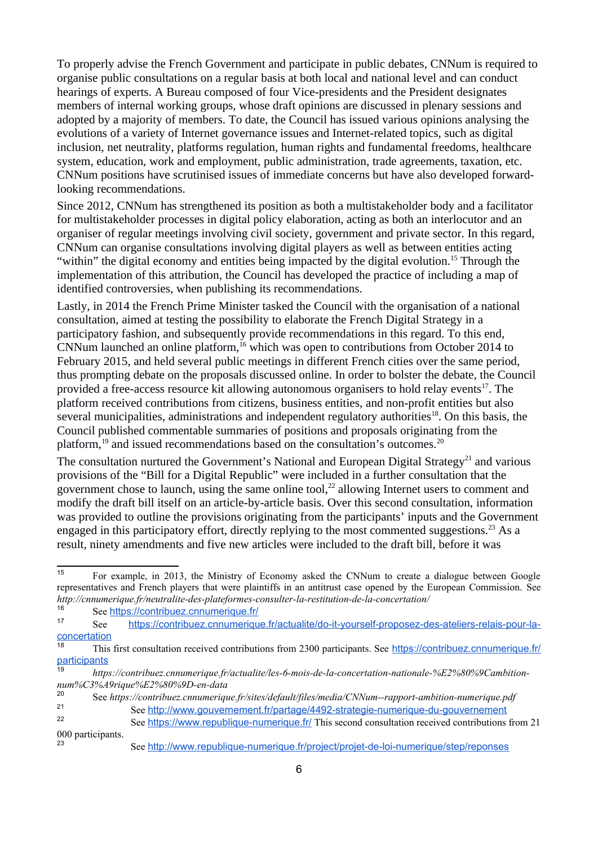To properly advise the French Government and participate in public debates, CNNum is required to organise public consultations on a regular basis at both local and national level and can conduct hearings of experts. A Bureau composed of four Vice-presidents and the President designates members of internal working groups, whose draft opinions are discussed in plenary sessions and adopted by a majority of members. To date, the Council has issued various opinions analysing the evolutions of a variety of Internet governance issues and Internet-related topics, such as digital inclusion, net neutrality, platforms regulation, human rights and fundamental freedoms, healthcare system, education, work and employment, public administration, trade agreements, taxation, etc. CNNum positions have scrutinised issues of immediate concerns but have also developed forwardlooking recommendations.

Since 2012, CNNum has strengthened its position as both a multistakeholder body and a facilitator for multistakeholder processes in digital policy elaboration, acting as both an interlocutor and an organiser of regular meetings involving civil society, government and private sector. In this regard, CNNum can organise consultations involving digital players as well as between entities acting "within" the digital economy and entities being impacted by the digital evolution.<sup>[15](#page-5-0)</sup> Through the implementation of this attribution, the Council has developed the practice of including a map of identified controversies, when publishing its recommendations.

Lastly, in 2014 the French Prime Minister tasked the Council with the organisation of a national consultation, aimed at testing the possibility to elaborate the French Digital Strategy in a participatory fashion, and subsequently provide recommendations in this regard. To this end,  $CNNum$  launched an online platform,  $^{16}$  $^{16}$  $^{16}$  which was open to contributions from October 2014 to February 2015, and held several public meetings in different French cities over the same period, thus prompting debate on the proposals discussed online. In order to bolster the debate, the Council provided a free-access resource kit allowing autonomous organisers to hold relay events<sup>[17](#page-5-2)</sup>. The platform received contributions from citizens, business entities, and non-profit entities but also several municipalities, administrations and independent regulatory authorities<sup>[18](#page-5-3)</sup>. On this basis, the Council published commentable summaries of positions and proposals originating from the platform, $19$  and issued recommendations based on the consultation's outcomes. $20$ 

The consultation nurtured the Government's National and European Digital Strategy<sup>[21](#page-5-6)</sup> and various provisions of the "Bill for a Digital Republic" were included in a further consultation that the government chose to launch, using the same online tool, $^{22}$  $^{22}$  $^{22}$  allowing Internet users to comment and modify the draft bill itself on an article-by-article basis. Over this second consultation, information was provided to outline the provisions originating from the participants' inputs and the Government engaged in this participatory effort, directly replying to the most commented suggestions.<sup>[23](#page-5-8)</sup> As a result, ninety amendments and five new articles were included to the draft bill, before it was

<span id="page-5-0"></span><sup>15</sup> For example, in 2013, the Ministry of Economy asked the CNNum to create a dialogue between Google representatives and French players that were plaintiffs in an antitrust case opened by the European Commission. See *http://cnnumerique.fr/neutralite-des-plateformes-consulter-la-restitution-de-la-concertation/*

<span id="page-5-1"></span><sup>16</sup> See <https://contribuez.cnnumerique.fr/><br>17 See https://contribuez.cnnumerique.fr/

<span id="page-5-2"></span><sup>17</sup> See [https://contribuez.cnnumerique.fr/actualite/do-it-yourself-proposez-des-ateliers-relais-pour-la](https://contribuez.cnnumerique.fr/actualite/do-it-yourself-proposez-des-ateliers-relais-pour-la-concertation)[concertation](https://contribuez.cnnumerique.fr/actualite/do-it-yourself-proposez-des-ateliers-relais-pour-la-concertation)

<span id="page-5-3"></span><sup>&</sup>lt;sup>18</sup> This first consultation received contributions from 2300 participants. See [https://contribuez.cnnumerique.fr/](https://contribuez.cnnumerique.fr/participants) [participants](https://contribuez.cnnumerique.fr/participants)

<span id="page-5-4"></span><sup>19</sup> *https://contribuez.cnnumerique.fr/actualite/les-6-mois-de-la-concertation-nationale-%E2%80%9Cambitionnum%C3%A9rique%E2%80%9D-en-data*

<span id="page-5-6"></span><span id="page-5-5"></span><sup>&</sup>lt;sup>20</sup> See *https://contribuez.cnnumerique.fr/sites/default/files/media/CNNum--rapport-ambition-numerique.pdf<br><sup>21</sup> See http://www.gouvernoment.fr/partago/4492.strategie.numerique.du.gouvernoment* <sup>21</sup> See <http://www.gouvernement.fr/partage/4492-strategie-numerique-du-gouvernement><br><sup>22</sup>

<span id="page-5-8"></span><span id="page-5-7"></span>See <https://www.republique-numerique.fr/> This second consultation received contributions from 21 000 participants.

<sup>23</sup> See <http://www.republique-numerique.fr/project/projet-de-loi-numerique/step/reponses>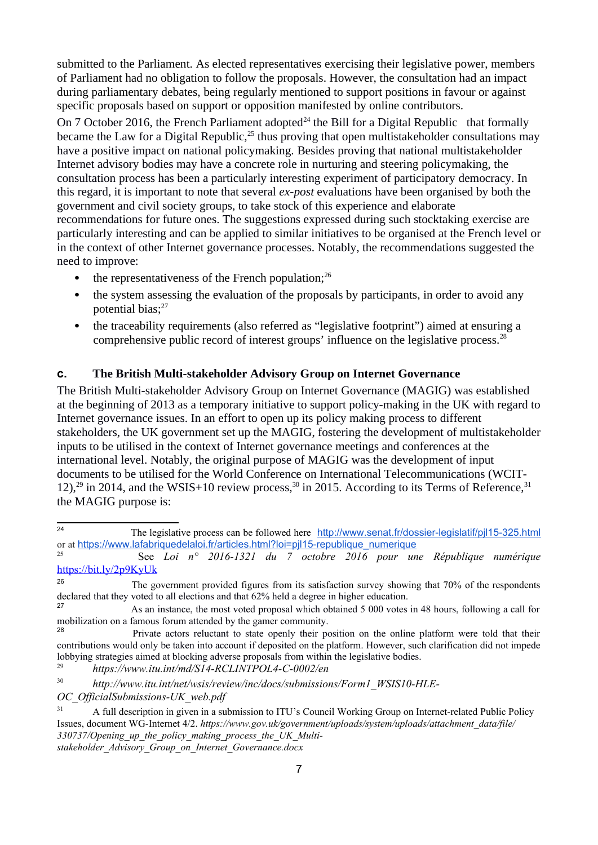submitted to the Parliament. As elected representatives exercising their legislative power, members of Parliament had no obligation to follow the proposals. However, the consultation had an impact during parliamentary debates, being regularly mentioned to support positions in favour or against specific proposals based on support or opposition manifested by online contributors.

On 7 October 2016, the French Parliament adopted<sup>[24](#page-6-0)</sup> the Bill for a Digital Republic that formally became the Law for a Digital Republic, $^{25}$  $^{25}$  $^{25}$  thus proving that open multistakeholder consultations may have a positive impact on national policymaking. Besides proving that national multistakeholder Internet advisory bodies may have a concrete role in nurturing and steering policymaking, the consultation process has been a particularly interesting experiment of participatory democracy. In this regard, it is important to note that several *ex-post* evaluations have been organised by both the government and civil society groups, to take stock of this experience and elaborate recommendations for future ones. The suggestions expressed during such stocktaking exercise are particularly interesting and can be applied to similar initiatives to be organised at the French level or in the context of other Internet governance processes. Notably, the recommendations suggested the need to improve:

- the representativeness of the French population; $^{26}$  $^{26}$  $^{26}$
- the system assessing the evaluation of the proposals by participants, in order to avoid any potential bias; $27$
- the traceability requirements (also referred as "legislative footprint") aimed at ensuring a comprehensive public record of interest groups' influence on the legislative process.<sup>[28](#page-6-4)</sup>

#### **c. The British Multi-stakeholder Advisory Group on Internet Governance**

The British Multi-stakeholder Advisory Group on Internet Governance (MAGIG) was established at the beginning of 2013 as a temporary initiative to support policy-making in the UK with regard to Internet governance issues. In an effort to open up its policy making process to different stakeholders, the UK government set up the MAGIG, fostering the development of multistakeholder inputs to be utilised in the context of Internet governance meetings and conferences at the international level. Notably, the original purpose of MAGIG was the development of input documents to be utilised for the World Conference on International Telecommunications (WCIT-12),<sup>[29](#page-6-5)</sup> in 2014, and the WSIS+10 review process,<sup>[30](#page-6-6)</sup> in 2015. According to its Terms of Reference,<sup>[31](#page-6-7)</sup> the MAGIG purpose is:

<span id="page-6-0"></span><sup>24</sup> The legislative process can be followed here <http://www.senat.fr/dossier-legislatif/pjl15-325.html> or at [https://www.lafabriquedelaloi.fr/articles.html?loi=pjl15-republique\\_numerique](https://www.lafabriquedelaloi.fr/articles.html?loi=pjl15-republique_numerique)

<span id="page-6-1"></span><sup>25</sup> See *Loi n° 2016-1321 du 7 octobre 2016 pour une République numérique* <https://bit.ly/2p9KyUk>

<span id="page-6-2"></span><sup>26</sup> The government provided figures from its satisfaction survey showing that 70% of the respondents declared that they voted to all elections and that 62% held a degree in higher education.

<span id="page-6-3"></span>As an instance, the most voted proposal which obtained 5 000 votes in 48 hours, following a call for mobilization on a famous forum attended by the gamer community.

<span id="page-6-4"></span>Private actors reluctant to state openly their position on the online platform were told that their contributions would only be taken into account if deposited on the platform. However, such clarification did not impede lobbying strategies aimed at blocking adverse proposals from within the legislative bodies.

<span id="page-6-5"></span><sup>29</sup> *https://www.itu.int/md/S14-RCLINTPOL4-C-0002/en*

<span id="page-6-6"></span><sup>30</sup> *http://www.itu.int/net/wsis/review/inc/docs/submissions/Form1\_WSIS10-HLE-*

*OC\_OfficialSubmissions-UK\_web.pdf*

<span id="page-6-7"></span><sup>&</sup>lt;sup>31</sup> A full description in given in a submission to ITU's Council Working Group on Internet-related Public Policy Issues, document WG-Internet 4/2. *https://www.gov.uk/government/uploads/system/uploads/attachment\_data/file/ 330737/Opening\_up\_the\_policy\_making\_process\_the\_UK\_Multistakeholder\_Advisory\_Group\_on\_Internet\_Governance.docx*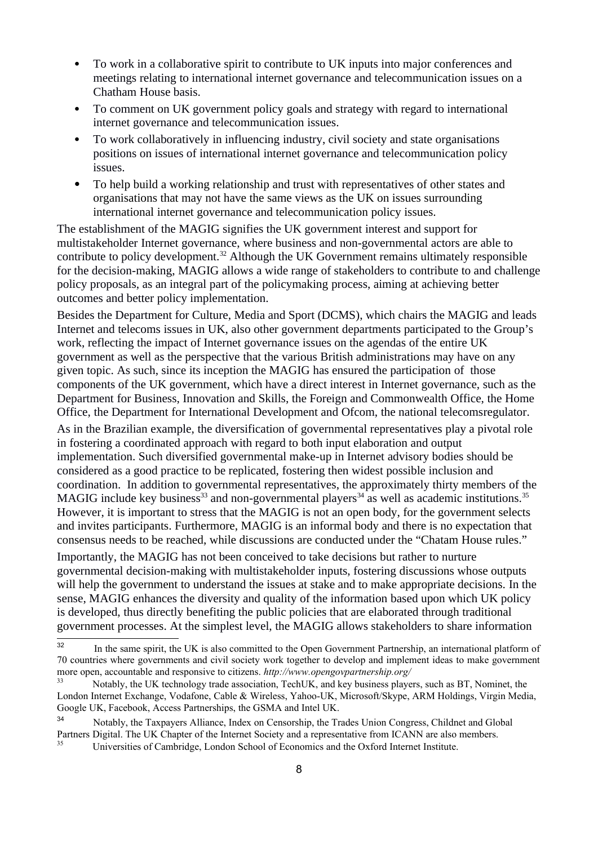- To work in a collaborative spirit to contribute to UK inputs into major conferences and meetings relating to international internet governance and telecommunication issues on a Chatham House basis.
- To comment on UK government policy goals and strategy with regard to international internet governance and telecommunication issues.
- To work collaboratively in influencing industry, civil society and state organisations positions on issues of international internet governance and telecommunication policy issues.
- To help build a working relationship and trust with representatives of other states and organisations that may not have the same views as the UK on issues surrounding international internet governance and telecommunication policy issues.

The establishment of the MAGIG signifies the UK government interest and support for multistakeholder Internet governance, where business and non-governmental actors are able to contribute to policy development.<sup>[32](#page-7-0)</sup> Although the UK Government remains ultimately responsible for the decision-making, MAGIG allows a wide range of stakeholders to contribute to and challenge policy proposals, as an integral part of the policymaking process, aiming at achieving better outcomes and better policy implementation.

Besides the Department for Culture, Media and Sport (DCMS), which chairs the MAGIG and leads Internet and telecoms issues in UK, also other government departments participated to the Group's work, reflecting the impact of Internet governance issues on the agendas of the entire UK government as well as the perspective that the various British administrations may have on any given topic. As such, since its inception the MAGIG has ensured the participation of those components of the UK government, which have a direct interest in Internet governance, such as the Department for Business, Innovation and Skills, the Foreign and Commonwealth Office, the Home Office, the Department for International Development and Ofcom, the national telecomsregulator.

As in the Brazilian example, the diversification of governmental representatives play a pivotal role in fostering a coordinated approach with regard to both input elaboration and output implementation. Such diversified governmental make-up in Internet advisory bodies should be considered as a good practice to be replicated, fostering then widest possible inclusion and coordination. In addition to governmental representatives, the approximately thirty members of the MAGIG include key business<sup>[33](#page-7-1)</sup> and non-governmental players<sup>[34](#page-7-2)</sup> as well as academic institutions.<sup>[35](#page-7-3)</sup> However, it is important to stress that the MAGIG is not an open body, for the government selects and invites participants. Furthermore, MAGIG is an informal body and there is no expectation that consensus needs to be reached, while discussions are conducted under the "Chatam House rules."

Importantly, the MAGIG has not been conceived to take decisions but rather to nurture governmental decision-making with multistakeholder inputs, fostering discussions whose outputs will help the government to understand the issues at stake and to make appropriate decisions. In the sense, MAGIG enhances the diversity and quality of the information based upon which UK policy is developed, thus directly benefiting the public policies that are elaborated through traditional government processes. At the simplest level, the MAGIG allows stakeholders to share information

<span id="page-7-0"></span><sup>&</sup>lt;sup>32</sup> In the same spirit, the UK is also committed to the Open Government Partnership, an international platform of 70 countries where governments and civil society work together to develop and implement ideas to make government more open, accountable and responsive to citizens. *http://www.opengovpartnership.org/*

<span id="page-7-1"></span><sup>&</sup>lt;sup>33</sup> Notably, the UK technology trade association, TechUK, and key business players, such as BT, Nominet, the London Internet Exchange, Vodafone, Cable & Wireless, Yahoo-UK, Microsoft/Skype, ARM Holdings, Virgin Media, Google UK, Facebook, Access Partnerships, the GSMA and Intel UK.

<span id="page-7-2"></span><sup>34</sup> Notably, the Taxpayers Alliance, Index on Censorship, the Trades Union Congress, Childnet and Global Partners Digital. The UK Chapter of the Internet Society and a representative from ICANN are also members.

<span id="page-7-3"></span><sup>35</sup> Universities of Cambridge, London School of Economics and the Oxford Internet Institute.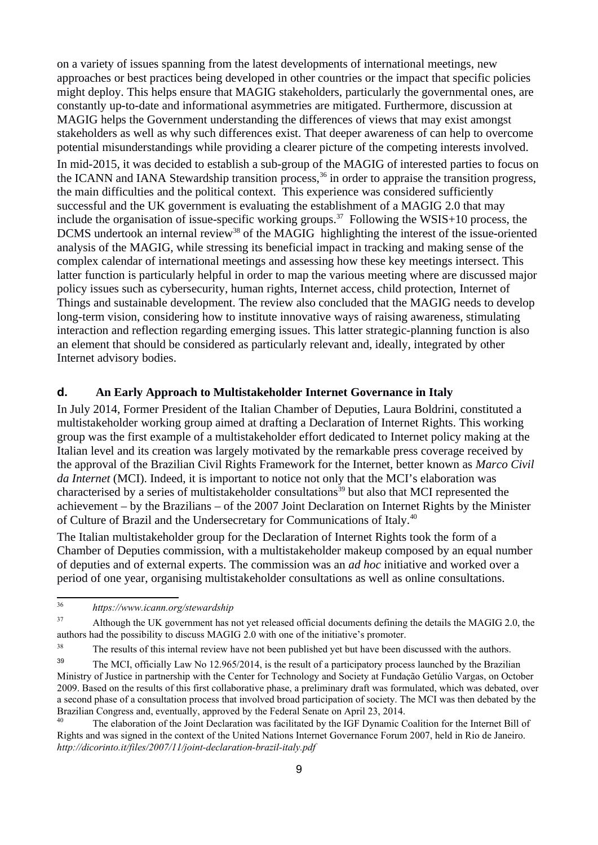on a variety of issues spanning from the latest developments of international meetings, new approaches or best practices being developed in other countries or the impact that specific policies might deploy. This helps ensure that MAGIG stakeholders, particularly the governmental ones, are constantly up-to-date and informational asymmetries are mitigated. Furthermore, discussion at MAGIG helps the Government understanding the differences of views that may exist amongst stakeholders as well as why such differences exist. That deeper awareness of can help to overcome potential misunderstandings while providing a clearer picture of the competing interests involved. In mid-2015, it was decided to establish a sub-group of the MAGIG of interested parties to focus on the ICANN and IANA Stewardship transition process,  $36$  in order to appraise the transition progress, the main difficulties and the political context. This experience was considered sufficiently successful and the UK government is evaluating the establishment of a MAGIG 2.0 that may include the organisation of issue-specific working groups.<sup>[37](#page-8-1)</sup> Following the WSIS+10 process, the DCMS undertook an internal review<sup>[38](#page-8-2)</sup> of the MAGIG highlighting the interest of the issue-oriented analysis of the MAGIG, while stressing its beneficial impact in tracking and making sense of the complex calendar of international meetings and assessing how these key meetings intersect. This latter function is particularly helpful in order to map the various meeting where are discussed major policy issues such as cybersecurity, human rights, Internet access, child protection, Internet of Things and sustainable development. The review also concluded that the MAGIG needs to develop long-term vision, considering how to institute innovative ways of raising awareness, stimulating interaction and reflection regarding emerging issues. This latter strategic-planning function is also an element that should be considered as particularly relevant and, ideally, integrated by other Internet advisory bodies.

#### **d. An Early Approach to Multistakeholder Internet Governance in Italy**

In July 2014, Former President of the Italian Chamber of Deputies, Laura Boldrini, constituted a multistakeholder working group aimed at drafting a Declaration of Internet Rights. This working group was the first example of a multistakeholder effort dedicated to Internet policy making at the Italian level and its creation was largely motivated by the remarkable press coverage received by the approval of the Brazilian Civil Rights Framework for the Internet, better known as *Marco Civil da Internet* (MCI). Indeed, it is important to notice not only that the MCI's elaboration was characterised by a series of multistakeholder consultations<sup>[39](#page-8-3)</sup> but also that MCI represented the achievement – by the Brazilians – of the 2007 Joint Declaration on Internet Rights by the Minister of Culture of Brazil and the Undersecretary for Communications of Italy.<sup>[40](#page-8-4)</sup>

The Italian multistakeholder group for the Declaration of Internet Rights took the form of a Chamber of Deputies commission, with a multistakeholder makeup composed by an equal number of deputies and of external experts. The commission was an *ad hoc* initiative and worked over a period of one year, organising multistakeholder consultations as well as online consultations.

<span id="page-8-0"></span><sup>36</sup> *https://www.icann.org/stewardship*

<span id="page-8-1"></span><sup>37</sup> Although the UK government has not yet released official documents defining the details the MAGIG 2.0, the authors had the possibility to discuss MAGIG 2.0 with one of the initiative's promoter.

<span id="page-8-2"></span><sup>38</sup> The results of this internal review have not been published yet but have been discussed with the authors.

<span id="page-8-3"></span><sup>39</sup> The MCI, officially Law No 12.965/2014, is the result of a participatory process launched by the Brazilian Ministry of Justice in partnership with the Center for Technology and Society at Fundação Getúlio Vargas, on October 2009. Based on the results of this first collaborative phase, a preliminary draft was formulated, which was debated, over a second phase of a consultation process that involved broad participation of society. The MCI was then debated by the Brazilian Congress and, eventually, approved by the Federal Senate on April 23, 2014.

<span id="page-8-4"></span><sup>40</sup> The elaboration of the Joint Declaration was facilitated by the IGF Dynamic Coalition for the Internet Bill of Rights and was signed in the context of the United Nations Internet Governance Forum 2007, held in Rio de Janeiro. *http://dicorinto.it/files/2007/11/joint-declaration-brazil-italy.pdf*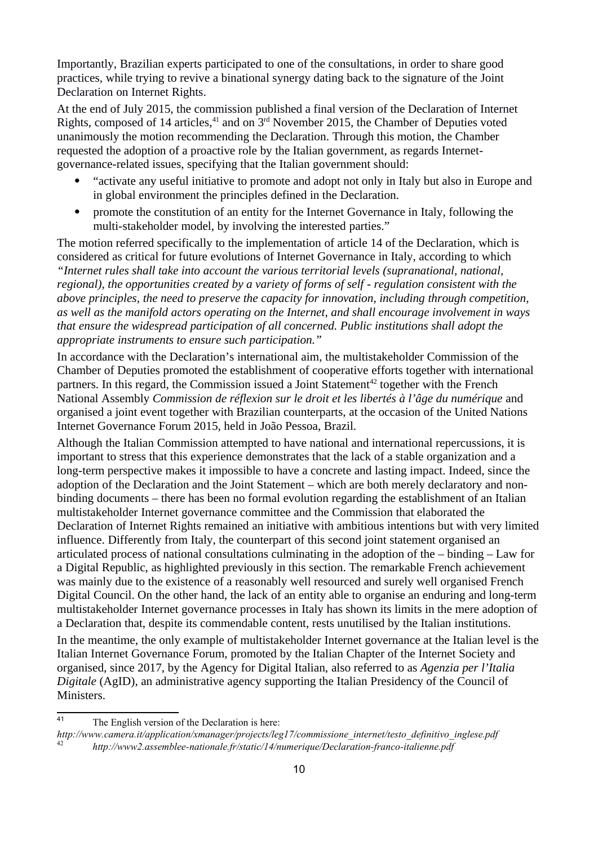Importantly, Brazilian experts participated to one of the consultations, in order to share good practices, while trying to revive a binational synergy dating back to the signature of the Joint Declaration on Internet Rights.

At the end of July 2015, the commission published a final version of the Declaration of Internet Rights, composed of 14 articles, $41$  and on  $3<sup>rd</sup>$  November 2015, the Chamber of Deputies voted unanimously the motion recommending the Declaration. Through this motion, the Chamber requested the adoption of a proactive role by the Italian government, as regards Internetgovernance-related issues, specifying that the Italian government should:

- "activate any useful initiative to promote and adopt not only in Italy but also in Europe and in global environment the principles defined in the Declaration.
- promote the constitution of an entity for the Internet Governance in Italy, following the multi-stakeholder model, by involving the interested parties."

The motion referred specifically to the implementation of article 14 of the Declaration, which is considered as critical for future evolutions of Internet Governance in Italy, according to which *"Internet rules shall take into account the various territorial levels (supranational, national, regional), the opportunities created by a variety of forms of self ‐ regulation consistent with the above principles, the need to preserve the capacity for innovation, including through competition, as well as the manifold actors operating on the Internet, and shall encourage involvement in ways that ensure the widespread participation of all concerned. Public institutions shall adopt the appropriate instruments to ensure such participation."*

In accordance with the Declaration's international aim, the multistakeholder Commission of the Chamber of Deputies promoted the establishment of cooperative efforts together with international partners. In this regard, the Commission issued a Joint Statement<sup>[42](#page-9-1)</sup> together with the French National Assembly *Commission de réflexion sur le droit et les libertés à l'âge du numérique* and organised a joint event together with Brazilian counterparts, at the occasion of the United Nations Internet Governance Forum 2015, held in João Pessoa, Brazil.

Although the Italian Commission attempted to have national and international repercussions, it is important to stress that this experience demonstrates that the lack of a stable organization and a long-term perspective makes it impossible to have a concrete and lasting impact. Indeed, since the adoption of the Declaration and the Joint Statement – which are both merely declaratory and nonbinding documents – there has been no formal evolution regarding the establishment of an Italian multistakeholder Internet governance committee and the Commission that elaborated the Declaration of Internet Rights remained an initiative with ambitious intentions but with very limited influence. Differently from Italy, the counterpart of this second joint statement organised an articulated process of national consultations culminating in the adoption of the – binding – Law for a Digital Republic, as highlighted previously in this section. The remarkable French achievement was mainly due to the existence of a reasonably well resourced and surely well organised French Digital Council. On the other hand, the lack of an entity able to organise an enduring and long-term multistakeholder Internet governance processes in Italy has shown its limits in the mere adoption of a Declaration that, despite its commendable content, rests unutilised by the Italian institutions.

In the meantime, the only example of multistakeholder Internet governance at the Italian level is the Italian Internet Governance Forum, promoted by the Italian Chapter of the Internet Society and organised, since 2017, by the Agency for Digital Italian, also referred to as *Agenzia per l'Italia Digitale* (AgID), an administrative agency supporting the Italian Presidency of the Council of Ministers.

<span id="page-9-0"></span><sup>41</sup> The English version of the Declaration is here:

*http://www.camera.it/application/xmanager/projects/leg17/commissione\_internet/testo\_definitivo\_inglese.pdf*

<span id="page-9-1"></span><sup>42</sup> *http://www2.assemblee-nationale.fr/static/14/numerique/Declaration-franco-italienne.pdf*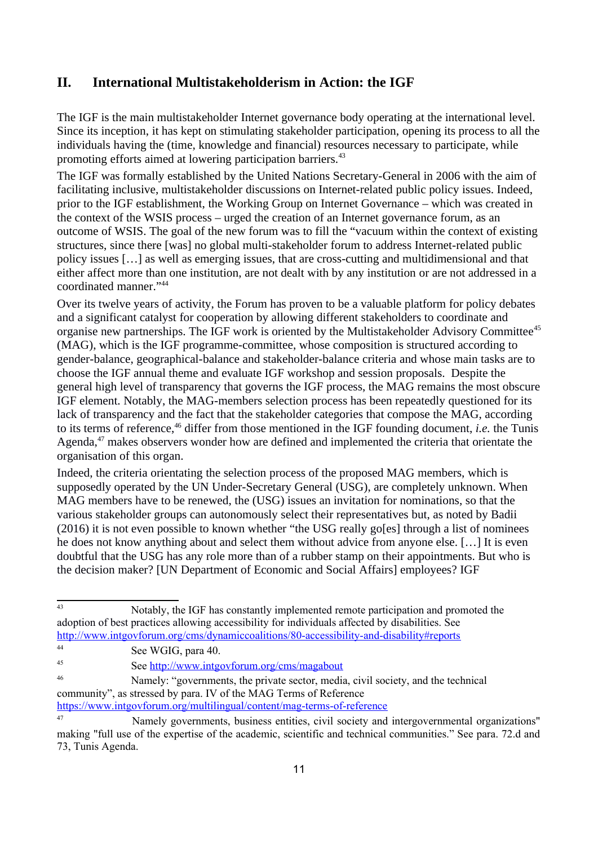### **II. International Multistakeholderism in Action: the IGF**

The IGF is the main multistakeholder Internet governance body operating at the international level. Since its inception, it has kept on stimulating stakeholder participation, opening its process to all the individuals having the (time, knowledge and financial) resources necessary to participate, while promoting efforts aimed at lowering participation barriers.<sup>[43](#page-10-0)</sup>

The IGF was formally established by the United Nations Secretary-General in 2006 with the aim of facilitating inclusive, multistakeholder discussions on Internet-related public policy issues. Indeed, prior to the IGF establishment, the Working Group on Internet Governance – which was created in the context of the WSIS process – urged the creation of an Internet governance forum, as an outcome of WSIS. The goal of the new forum was to fill the "vacuum within the context of existing structures, since there [was] no global multi-stakeholder forum to address Internet-related public policy issues […] as well as emerging issues, that are cross-cutting and multidimensional and that either affect more than one institution, are not dealt with by any institution or are not addressed in a coordinated manner."[44](#page-10-1)

Over its twelve years of activity, the Forum has proven to be a valuable platform for policy debates and a significant catalyst for cooperation by allowing different stakeholders to coordinate and organise new partnerships. The IGF work is oriented by the Multistakeholder Advisory Committee<sup>[45](#page-10-2)</sup> (MAG), which is the IGF programme-committee, whose composition is structured according to gender-balance, geographical-balance and stakeholder-balance criteria and whose main tasks are to choose the IGF annual theme and evaluate IGF workshop and session proposals. Despite the general high level of transparency that governs the IGF process, the MAG remains the most obscure IGF element. Notably, the MAG-members selection process has been repeatedly questioned for its lack of transparency and the fact that the stakeholder categories that compose the MAG, according to its terms of reference,[46](#page-10-3) differ from those mentioned in the IGF founding document, *i.e.* the Tunis Agenda,<sup>[47](#page-10-4)</sup> makes observers wonder how are defined and implemented the criteria that orientate the organisation of this organ.

Indeed, the criteria orientating the selection process of the proposed MAG members, which is supposedly operated by the UN Under-Secretary General (USG), are completely unknown. When MAG members have to be renewed, the (USG) issues an invitation for nominations, so that the various stakeholder groups can autonomously select their representatives but, as noted by Badii (2016) it is not even possible to known whether "the USG really go[es] through a list of nominees he does not know anything about and select them without advice from anyone else. […] It is even doubtful that the USG has any role more than of a rubber stamp on their appointments. But who is the decision maker? [UN Department of Economic and Social Affairs] employees? IGF

<span id="page-10-1"></span><sup>44</sup> See WGIG, para 40.

<span id="page-10-3"></span><sup>46</sup> Namely: "governments, the private sector, media, civil society, and the technical community", as stressed by para. IV of the MAG Terms of Reference

<https://www.intgovforum.org/multilingual/content/mag-terms-of-reference>

<span id="page-10-0"></span><sup>43</sup> Notably, the IGF has constantly implemented remote participation and promoted the adoption of best practices allowing accessibility for individuals affected by disabilities. See <http://www.intgovforum.org/cms/dynamiccoalitions/80-accessibility-and-disability#reports>

<span id="page-10-2"></span><sup>45</sup> See<http://www.intgovforum.org/cms/magabout>

<span id="page-10-4"></span><sup>47</sup> Namely governments, business entities, civil society and intergovernmental organizations" making "full use of the expertise of the academic, scientific and technical communities." See para. 72.d and 73, Tunis Agenda.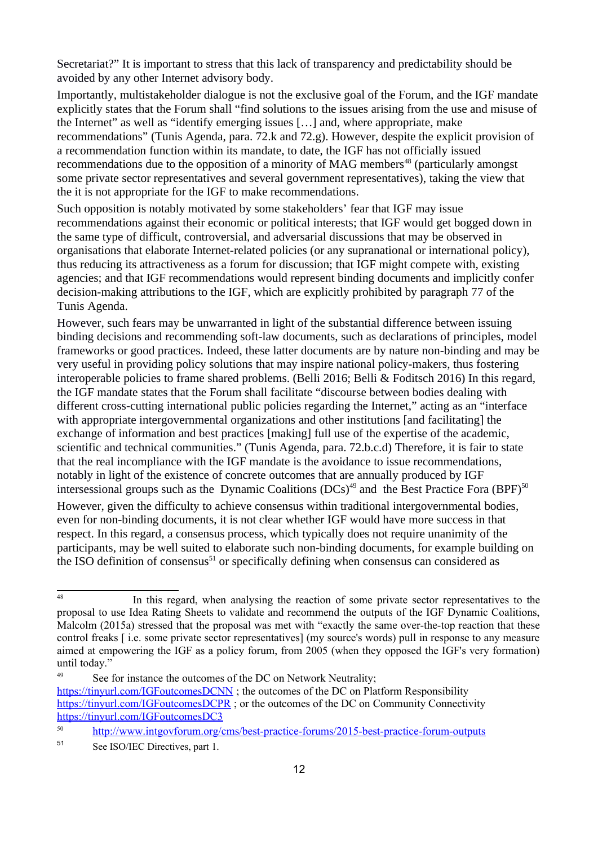Secretariat?" It is important to stress that this lack of transparency and predictability should be avoided by any other Internet advisory body.

Importantly, multistakeholder dialogue is not the exclusive goal of the Forum, and the IGF mandate explicitly states that the Forum shall "find solutions to the issues arising from the use and misuse of the Internet" as well as "identify emerging issues […] and, where appropriate, make recommendations" (Tunis Agenda, para. 72.k and 72.g). However, despite the explicit provision of a recommendation function within its mandate, to date, the IGF has not officially issued recommendations due to the opposition of a minority of MAG members<sup>[48](#page-11-0)</sup> (particularly amongst some private sector representatives and several government representatives), taking the view that the it is not appropriate for the IGF to make recommendations.

Such opposition is notably motivated by some stakeholders' fear that IGF may issue recommendations against their economic or political interests; that IGF would get bogged down in the same type of difficult, controversial, and adversarial discussions that may be observed in organisations that elaborate Internet-related policies (or any supranational or international policy), thus reducing its attractiveness as a forum for discussion; that IGF might compete with, existing agencies; and that IGF recommendations would represent binding documents and implicitly confer decision-making attributions to the IGF, which are explicitly prohibited by paragraph 77 of the Tunis Agenda.

However, such fears may be unwarranted in light of the substantial difference between issuing binding decisions and recommending soft-law documents, such as declarations of principles, model frameworks or good practices. Indeed, these latter documents are by nature non-binding and may be very useful in providing policy solutions that may inspire national policy-makers, thus fostering interoperable policies to frame shared problems. (Belli 2016; Belli & Foditsch 2016) In this regard, the IGF mandate states that the Forum shall facilitate "discourse between bodies dealing with different cross-cutting international public policies regarding the Internet," acting as an "interface with appropriate intergovernmental organizations and other institutions [and facilitating] the exchange of information and best practices [making] full use of the expertise of the academic, scientific and technical communities." (Tunis Agenda, para. 72.b.c.d) Therefore, it is fair to state that the real incompliance with the IGF mandate is the avoidance to issue recommendations, notably in light of the existence of concrete outcomes that are annually produced by IGF intersessional groups such as the Dynamic Coalitions  $(DCs)^{49}$  $(DCs)^{49}$  $(DCs)^{49}$  and the Best Practice Fora  $(BPF)^{50}$  $(BPF)^{50}$  $(BPF)^{50}$ 

However, given the difficulty to achieve consensus within traditional intergovernmental bodies, even for non-binding documents, it is not clear whether IGF would have more success in that respect. In this regard, a consensus process, which typically does not require unanimity of the participants, may be well suited to elaborate such non-binding documents, for example building on the ISO definition of consensus<sup>[51](#page-11-3)</sup> or specifically defining when consensus can considered as

<span id="page-11-0"></span><sup>&</sup>lt;sup>48</sup> In this regard, when analysing the reaction of some private sector representatives to the proposal to use Idea Rating Sheets to validate and recommend the outputs of the IGF Dynamic Coalitions, Malcolm (2015a) stressed that the proposal was met with "exactly the same over-the-top reaction that these control freaks [ i.e. some private sector representatives] (my source's words) pull in response to any measure aimed at empowering the IGF as a policy forum, from 2005 (when they opposed the IGF's very formation) until today."

<span id="page-11-1"></span><sup>&</sup>lt;sup>49</sup> See for instance the outcomes of the DC on Network Neutrality; <https://tinyurl.com/IGFoutcomesDCNN> ; the outcomes of the DC on Platform Responsibility <https://tinyurl.com/IGFoutcomesDCPR> ; or the outcomes of the DC on Community Connectivity <https://tinyurl.com/IGFoutcomesDC3>

<span id="page-11-2"></span><sup>50</sup> <http://www.intgovforum.org/cms/best-practice-forums/2015-best-practice-forum-outputs>

<span id="page-11-3"></span><sup>51</sup> See ISO/IEC Directives, part 1.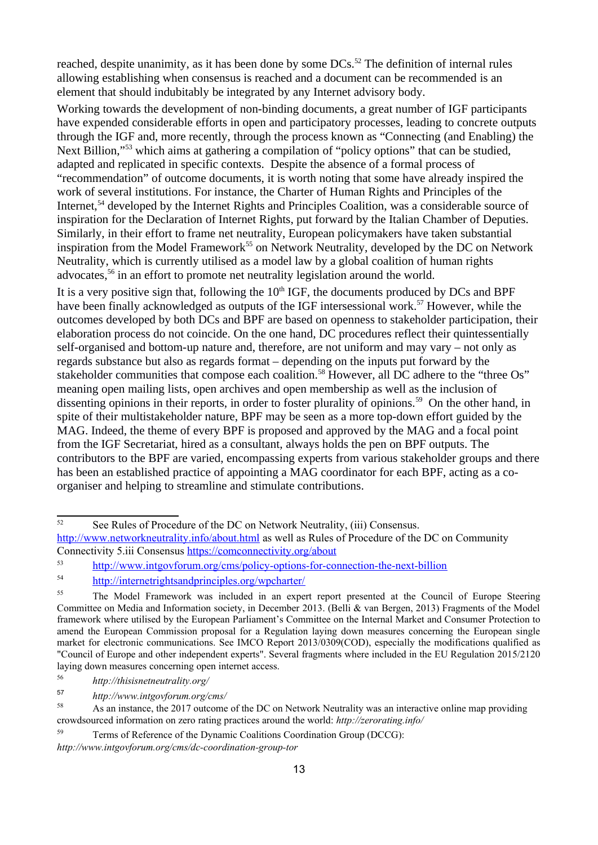reached, despite unanimity, as it has been done by some DCs.<sup>[52](#page-12-0)</sup> The definition of internal rules allowing establishing when consensus is reached and a document can be recommended is an element that should indubitably be integrated by any Internet advisory body.

Working towards the development of non-binding documents, a great number of IGF participants have expended considerable efforts in open and participatory processes, leading to concrete outputs through the IGF and, more recently, through the process known as "Connecting (and Enabling) the Next Billion,"[53](#page-12-1) which aims at gathering a compilation of "policy options" that can be studied, adapted and replicated in specific contexts. Despite the absence of a formal process of "recommendation" of outcome documents, it is worth noting that some have already inspired the work of several institutions. For instance, the Charter of Human Rights and Principles of the Internet.<sup>[54](#page-12-2)</sup> developed by the Internet Rights and Principles Coalition, was a considerable source of inspiration for the Declaration of Internet Rights, put forward by the Italian Chamber of Deputies. Similarly, in their effort to frame net neutrality, European policymakers have taken substantial inspiration from the Model Framework<sup>[55](#page-12-3)</sup> on Network Neutrality, developed by the DC on Network Neutrality, which is currently utilised as a model law by a global coalition of human rights advocates,<sup>[56](#page-12-4)</sup> in an effort to promote net neutrality legislation around the world.

It is a very positive sign that, following the  $10<sup>th</sup> IGF$ , the documents produced by DCs and BPF have been finally acknowledged as outputs of the IGF intersessional work.<sup>[57](#page-12-5)</sup> However, while the outcomes developed by both DCs and BPF are based on openness to stakeholder participation, their elaboration process do not coincide. On the one hand, DC procedures reflect their quintessentially self-organised and bottom-up nature and, therefore, are not uniform and may vary – not only as regards substance but also as regards format – depending on the inputs put forward by the stakeholder communities that compose each coalition.<sup>[58](#page-12-6)</sup> However, all DC adhere to the "three Os" meaning open mailing lists, open archives and open membership as well as the inclusion of dissenting opinions in their reports, in order to foster plurality of opinions.[59](#page-12-7) On the other hand, in spite of their multistakeholder nature, BPF may be seen as a more top-down effort guided by the MAG. Indeed, the theme of every BPF is proposed and approved by the MAG and a focal point from the IGF Secretariat, hired as a consultant, always holds the pen on BPF outputs. The contributors to the BPF are varied, encompassing experts from various stakeholder groups and there has been an established practice of appointing a MAG coordinator for each BPF, acting as a coorganiser and helping to streamline and stimulate contributions.

<span id="page-12-0"></span> $\overline{\text{52}}$  See Rules of Procedure of the DC on Network Neutrality, (iii) Consensus. <http://www.networkneutrality.info/about.html>as well as Rules of Procedure of the DC on Community Connectivity 5.iii Consensus<https://comconnectivity.org/about>

<span id="page-12-1"></span><sup>53</sup> <http://www.intgovforum.org/cms/policy-options-for-connection-the-next-billion>

<span id="page-12-2"></span><sup>54</sup> <http://internetrightsandprinciples.org/wpcharter/>

<span id="page-12-3"></span><sup>&</sup>lt;sup>55</sup> The Model Framework was included in an expert report presented at the Council of Europe Steering Committee on Media and Information society, in December 2013. (Belli & van Bergen, 2013) Fragments of the Model framework where utilised by the European Parliament's Committee on the Internal Market and Consumer Protection to amend the European Commission proposal for a Regulation laying down measures concerning the European single market for electronic communications. See IMCO Report 2013/0309(COD), especially the modifications qualified as "Council of Europe and other independent experts". Several fragments where included in the EU Regulation 2015/2120 laying down measures concerning open internet access.

<span id="page-12-4"></span><sup>56</sup> *http://thisisnetneutrality.org/*

<span id="page-12-5"></span><sup>57</sup> *http://www.intgovforum.org/cms/*

<span id="page-12-6"></span>As an instance, the 2017 outcome of the DC on Network Neutrality was an interactive online map providing crowdsourced information on zero rating practices around the world: *http://zerorating.info/*

<span id="page-12-7"></span><sup>59</sup> Terms of Reference of the Dynamic Coalitions Coordination Group (DCCG):

*http://www.intgovforum.org/cms/dc-coordination-group-tor*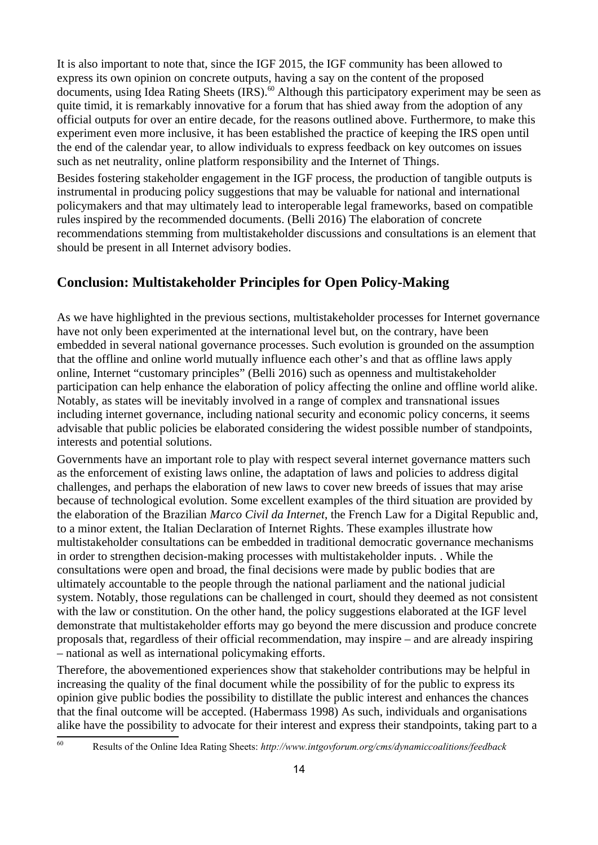It is also important to note that, since the IGF 2015, the IGF community has been allowed to express its own opinion on concrete outputs, having a say on the content of the proposed documents, using Idea Rating Sheets (IRS).<sup>[60](#page-13-0)</sup> Although this participatory experiment may be seen as quite timid, it is remarkably innovative for a forum that has shied away from the adoption of any official outputs for over an entire decade, for the reasons outlined above. Furthermore, to make this experiment even more inclusive, it has been established the practice of keeping the IRS open until the end of the calendar year, to allow individuals to express feedback on key outcomes on issues such as net neutrality, online platform responsibility and the Internet of Things.

Besides fostering stakeholder engagement in the IGF process, the production of tangible outputs is instrumental in producing policy suggestions that may be valuable for national and international policymakers and that may ultimately lead to interoperable legal frameworks, based on compatible rules inspired by the recommended documents. (Belli 2016) The elaboration of concrete recommendations stemming from multistakeholder discussions and consultations is an element that should be present in all Internet advisory bodies.

### **Conclusion: Multistakeholder Principles for Open Policy-Making**

As we have highlighted in the previous sections, multistakeholder processes for Internet governance have not only been experimented at the international level but, on the contrary, have been embedded in several national governance processes. Such evolution is grounded on the assumption that the offline and online world mutually influence each other's and that as offline laws apply online, Internet "customary principles" (Belli 2016) such as openness and multistakeholder participation can help enhance the elaboration of policy affecting the online and offline world alike. Notably, as states will be inevitably involved in a range of complex and transnational issues including internet governance, including national security and economic policy concerns, it seems advisable that public policies be elaborated considering the widest possible number of standpoints, interests and potential solutions.

Governments have an important role to play with respect several internet governance matters such as the enforcement of existing laws online, the adaptation of laws and policies to address digital challenges, and perhaps the elaboration of new laws to cover new breeds of issues that may arise because of technological evolution. Some excellent examples of the third situation are provided by the elaboration of the Brazilian *Marco Civil da Internet*, the French Law for a Digital Republic and, to a minor extent, the Italian Declaration of Internet Rights. These examples illustrate how multistakeholder consultations can be embedded in traditional democratic governance mechanisms in order to strengthen decision-making processes with multistakeholder inputs. . While the consultations were open and broad, the final decisions were made by public bodies that are ultimately accountable to the people through the national parliament and the national judicial system. Notably, those regulations can be challenged in court, should they deemed as not consistent with the law or constitution. On the other hand, the policy suggestions elaborated at the IGF level demonstrate that multistakeholder efforts may go beyond the mere discussion and produce concrete proposals that, regardless of their official recommendation, may inspire – and are already inspiring – national as well as international policymaking efforts.

Therefore, the abovementioned experiences show that stakeholder contributions may be helpful in increasing the quality of the final document while the possibility of for the public to express its opinion give public bodies the possibility to distillate the public interest and enhances the chances that the final outcome will be accepted. (Habermass 1998) As such, individuals and organisations alike have the possibility to advocate for their interest and express their standpoints, taking part to a

<span id="page-13-0"></span><sup>60</sup> Results of the Online Idea Rating Sheets: *http://www.intgovforum.org/cms/dynamiccoalitions/feedback*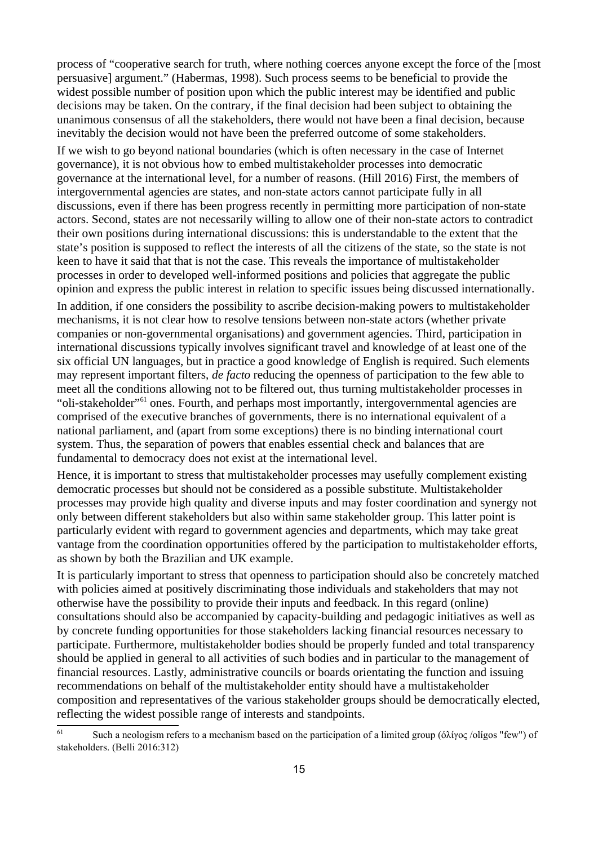process of "cooperative search for truth, where nothing coerces anyone except the force of the [most persuasive] argument." (Habermas, 1998). Such process seems to be beneficial to provide the widest possible number of position upon which the public interest may be identified and public decisions may be taken. On the contrary, if the final decision had been subject to obtaining the unanimous consensus of all the stakeholders, there would not have been a final decision, because inevitably the decision would not have been the preferred outcome of some stakeholders.

If we wish to go beyond national boundaries (which is often necessary in the case of Internet governance), it is not obvious how to embed multistakeholder processes into democratic governance at the international level, for a number of reasons. (Hill 2016) First, the members of intergovernmental agencies are states, and non-state actors cannot participate fully in all discussions, even if there has been progress recently in permitting more participation of non-state actors. Second, states are not necessarily willing to allow one of their non-state actors to contradict their own positions during international discussions: this is understandable to the extent that the state's position is supposed to reflect the interests of all the citizens of the state, so the state is not keen to have it said that that is not the case. This reveals the importance of multistakeholder processes in order to developed well-informed positions and policies that aggregate the public opinion and express the public interest in relation to specific issues being discussed internationally.

In addition, if one considers the possibility to ascribe decision-making powers to multistakeholder mechanisms, it is not clear how to resolve tensions between non-state actors (whether private companies or non-governmental organisations) and government agencies. Third, participation in international discussions typically involves significant travel and knowledge of at least one of the six official UN languages, but in practice a good knowledge of English is required. Such elements may represent important filters, *de facto* reducing the openness of participation to the few able to meet all the conditions allowing not to be filtered out, thus turning multistakeholder processes in "oli-stakeholder"[61](#page-14-0) ones. Fourth, and perhaps most importantly, intergovernmental agencies are comprised of the executive branches of governments, there is no international equivalent of a national parliament, and (apart from some exceptions) there is no binding international court system. Thus, the separation of powers that enables essential check and balances that are fundamental to democracy does not exist at the international level.

Hence, it is important to stress that multistakeholder processes may usefully complement existing democratic processes but should not be considered as a possible substitute. Multistakeholder processes may provide high quality and diverse inputs and may foster coordination and synergy not only between different stakeholders but also within same stakeholder group. This latter point is particularly evident with regard to government agencies and departments, which may take great vantage from the coordination opportunities offered by the participation to multistakeholder efforts, as shown by both the Brazilian and UK example.

It is particularly important to stress that openness to participation should also be concretely matched with policies aimed at positively discriminating those individuals and stakeholders that may not otherwise have the possibility to provide their inputs and feedback. In this regard (online) consultations should also be accompanied by capacity-building and pedagogic initiatives as well as by concrete funding opportunities for those stakeholders lacking financial resources necessary to participate. Furthermore, multistakeholder bodies should be properly funded and total transparency should be applied in general to all activities of such bodies and in particular to the management of financial resources. Lastly, administrative councils or boards orientating the function and issuing recommendations on behalf of the multistakeholder entity should have a multistakeholder composition and representatives of the various stakeholder groups should be democratically elected, reflecting the widest possible range of interests and standpoints.

<span id="page-14-0"></span><sup>&</sup>lt;sup>61</sup> Such a neologism refers to a mechanism based on the participation of a limited group (όλίγος /olígos "few") of stakeholders. (Belli 2016:312)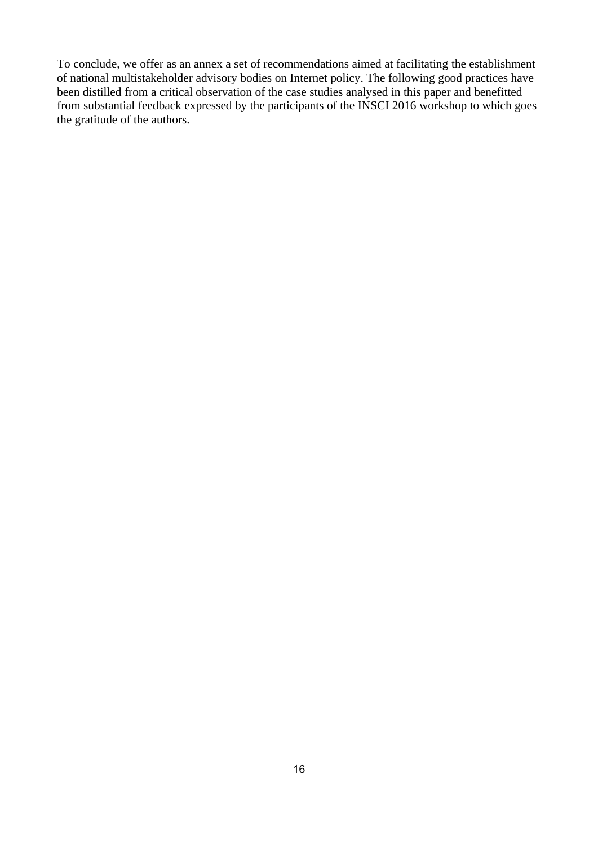To conclude, we offer as an annex a set of recommendations aimed at facilitating the establishment of national multistakeholder advisory bodies on Internet policy. The following good practices have been distilled from a critical observation of the case studies analysed in this paper and benefitted from substantial feedback expressed by the participants of the INSCI 2016 workshop to which goes the gratitude of the authors.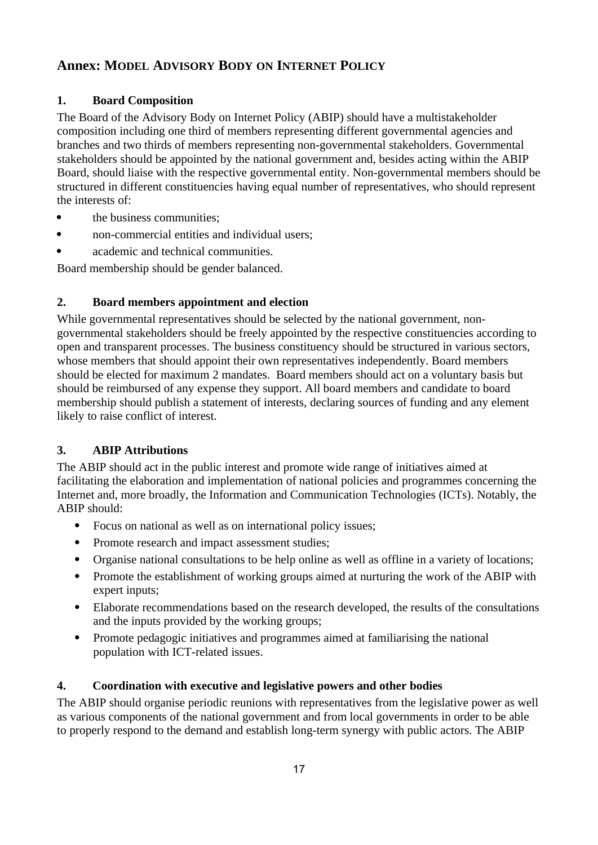## **Annex: MODEL ADVISORY BODY ON INTERNET POLICY**

### **1. Board Composition**

The Board of the Advisory Body on Internet Policy (ABIP) should have a multistakeholder composition including one third of members representing different governmental agencies and branches and two thirds of members representing non-governmental stakeholders. Governmental stakeholders should be appointed by the national government and, besides acting within the ABIP Board, should liaise with the respective governmental entity. Non-governmental members should be structured in different constituencies having equal number of representatives, who should represent the interests of:

- **the business communities:**
- non-commercial entities and individual users;
- academic and technical communities.

Board membership should be gender balanced.

### **2. Board members appointment and election**

While governmental representatives should be selected by the national government, nongovernmental stakeholders should be freely appointed by the respective constituencies according to open and transparent processes. The business constituency should be structured in various sectors, whose members that should appoint their own representatives independently. Board members should be elected for maximum 2 mandates. Board members should act on a voluntary basis but should be reimbursed of any expense they support. All board members and candidate to board membership should publish a statement of interests, declaring sources of funding and any element likely to raise conflict of interest.

### **3. ABIP Attributions**

The ABIP should act in the public interest and promote wide range of initiatives aimed at facilitating the elaboration and implementation of national policies and programmes concerning the Internet and, more broadly, the Information and Communication Technologies (ICTs). Notably, the ABIP should:

- Focus on national as well as on international policy issues;
- Promote research and impact assessment studies;
- Organise national consultations to be help online as well as offline in a variety of locations;
- Promote the establishment of working groups aimed at nurturing the work of the ABIP with expert inputs;
- Elaborate recommendations based on the research developed, the results of the consultations and the inputs provided by the working groups;
- Promote pedagogic initiatives and programmes aimed at familiarising the national population with ICT-related issues.

#### **4. Coordination with executive and legislative powers and other bodies**

The ABIP should organise periodic reunions with representatives from the legislative power as well as various components of the national government and from local governments in order to be able to properly respond to the demand and establish long-term synergy with public actors. The ABIP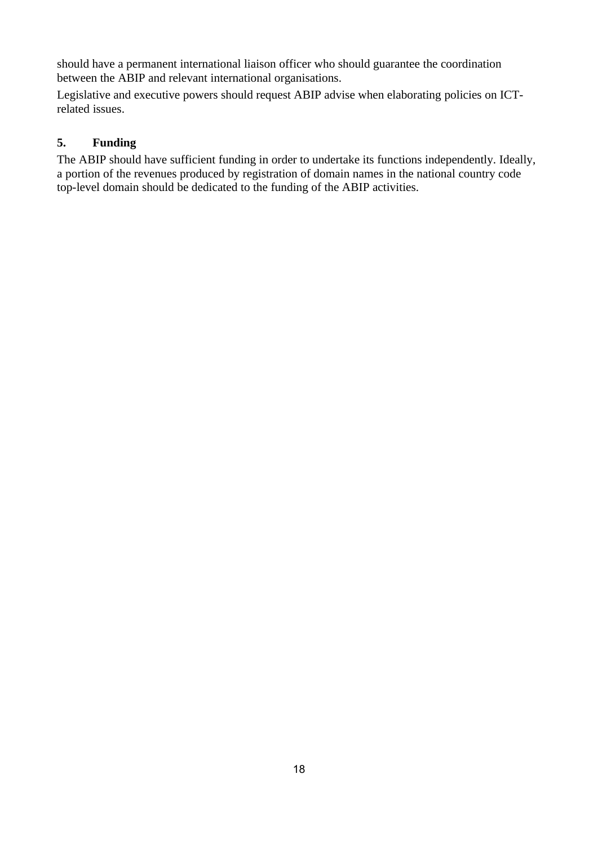should have a permanent international liaison officer who should guarantee the coordination between the ABIP and relevant international organisations.

Legislative and executive powers should request ABIP advise when elaborating policies on ICTrelated issues.

### **5. Funding**

The ABIP should have sufficient funding in order to undertake its functions independently. Ideally, a portion of the revenues produced by registration of domain names in the national country code top-level domain should be dedicated to the funding of the ABIP activities.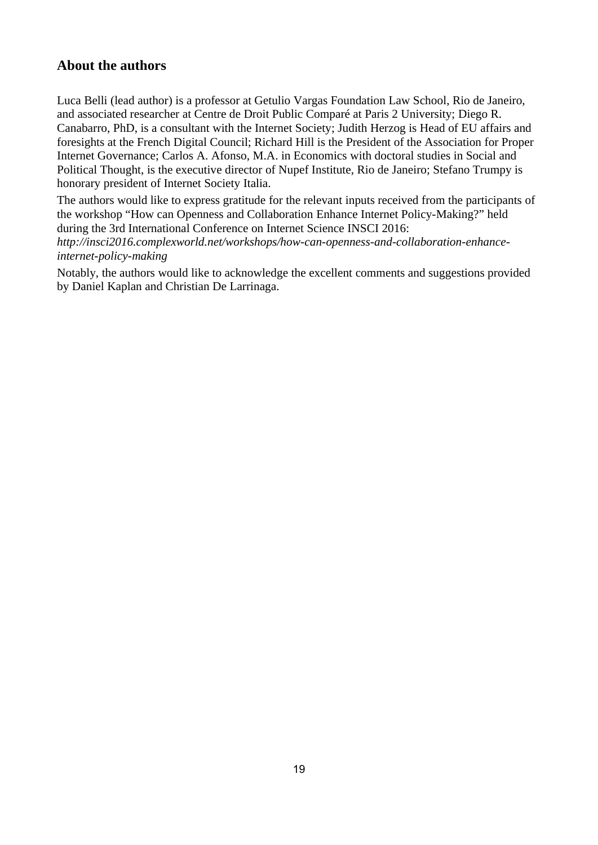## **About the authors**

Luca Belli (lead author) is a professor at Getulio Vargas Foundation Law School, Rio de Janeiro, and associated researcher at Centre de Droit Public Comparé at Paris 2 University; Diego R. Canabarro, PhD, is a consultant with the Internet Society; Judith Herzog is Head of EU affairs and foresights at the French Digital Council; Richard Hill is the President of the Association for Proper Internet Governance; Carlos A. Afonso, M.A. in Economics with doctoral studies in Social and Political Thought, is the executive director of Nupef Institute, Rio de Janeiro; Stefano Trumpy is honorary president of Internet Society Italia.

The authors would like to express gratitude for the relevant inputs received from the participants of the workshop "How can Openness and Collaboration Enhance Internet Policy-Making?" held during the 3rd International Conference on Internet Science INSCI 2016:

*http://insci2016.complexworld.net/workshops/how-can-openness-and-collaboration-enhanceinternet-policy-making*

Notably, the authors would like to acknowledge the excellent comments and suggestions provided by Daniel Kaplan and Christian De Larrinaga.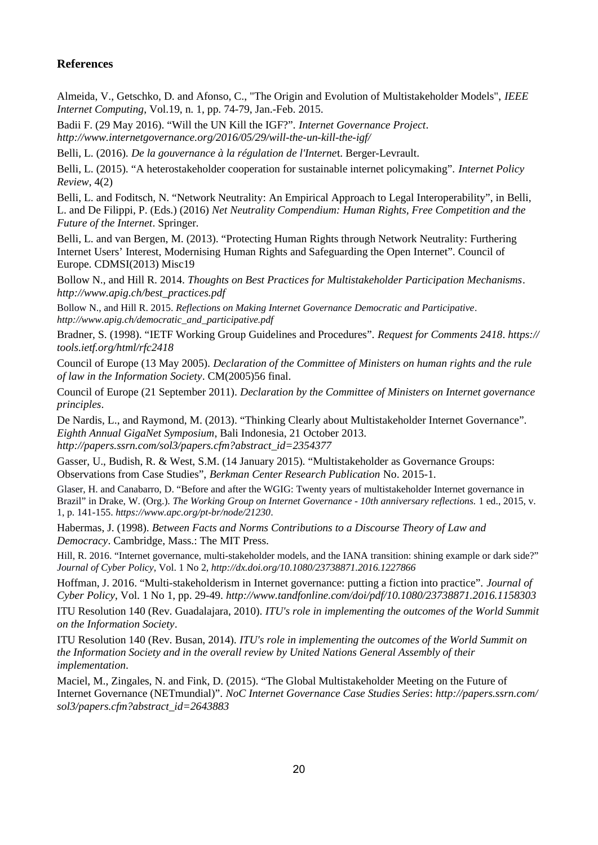#### **References**

Almeida, V., Getschko, D. and Afonso, C., "The Origin and Evolution of Multistakeholder Models", *IEEE Internet Computing*, Vol.19, n. 1, pp. 74-79, Jan.-Feb. 2015.

Badii F. (29 May 2016). "Will the UN Kill the IGF?". *Internet Governance Project*. *http://www.internetgovernance.org/2016/05/29/will-the-un-kill-the-igf/*

Belli, L. (2016). *De la gouvernance à la régulation de l'Interne*t. Berger-Levrault.

Belli, L. (2015). "A heterostakeholder cooperation for sustainable internet policymaking". *Internet Policy Review*, 4(2)

Belli, L. and Foditsch, N. "Network Neutrality: An Empirical Approach to Legal Interoperability", in Belli, L. and De Filippi, P. (Eds.) (2016) *Net Neutrality Compendium: Human Rights, Free Competition and the Future of the Internet*. Springer.

Belli, L. and van Bergen, M. (2013). "Protecting Human Rights through Network Neutrality: Furthering Internet Users' Interest, Modernising Human Rights and Safeguarding the Open Internet". Council of Europe. CDMSI(2013) Misc19

Bollow N., and Hill R. 2014. *Thoughts on Best Practices for Multistakeholder Participation Mechanisms*. *http://www.apig.ch/best\_practices.pdf*

Bollow N., and Hill R. 2015. *Reflections on Making Internet Governance Democratic and Participative*. *http://www.apig.ch/democratic\_and\_participative.pdf*

Bradner, S. (1998). "IETF Working Group Guidelines and Procedures". *Request for Comments 2418*. *https:// tools.ietf.org/html/rfc2418*

Council of Europe (13 May 2005). *Declaration of the Committee of Ministers on human rights and the rule of law in the Information Society*. CM(2005)56 final.

Council of Europe (21 September 2011). *Declaration by the Committee of Ministers on Internet governance principles*.

De Nardis, L., and Raymond, M. (2013). "Thinking Clearly about Multistakeholder Internet Governance". *Eighth Annual GigaNet Symposium*, Bali Indonesia, 21 October 2013. *http://papers.ssrn.com/sol3/papers.cfm?abstract\_id=2354377*

Gasser, U., Budish, R. & West, S.M. (14 January 2015). "Multistakeholder as Governance Groups: Observations from Case Studies", *Berkman Center Research Publication* No. 2015-1.

Glaser, H. and Canabarro, D. "Before and after the WGIG: Twenty years of multistakeholder Internet governance in Brazil" in Drake, W. (Org.). *The Working Group on Internet Governance - 10th anniversary reflections.* 1 ed., 2015, v. 1, p. 141-155. *https://www.apc.org/pt-br/node/21230*.

Habermas, J. (1998). *Between Facts and Norms Contributions to a Discourse Theory of Law and Democracy*. Cambridge, Mass.: The MIT Press.

Hill, R. 2016. "Internet governance, multi-stakeholder models, and the IANA transition: shining example or dark side?" *Journal of Cyber Policy*, Vol. 1 No 2, *http://dx.doi.org/10.1080/23738871.2016.1227866*

Hoffman, J. 2016. "Multi-stakeholderism in Internet governance: putting a fiction into practice". *Journal of Cyber Policy*, Vol. 1 No 1, pp. 29-49. *http://www.tandfonline.com/doi/pdf/10.1080/23738871.2016.1158303*

ITU Resolution 140 (Rev. Guadalajara, 2010). *ITU's role in implementing the outcomes of the World Summit on the Information Society*.

ITU Resolution 140 (Rev. Busan, 2014). *ITU's role in implementing the outcomes of the World Summit on the Information Society and in the overall review by United Nations General Assembly of their implementation*.

Maciel, M., Zingales, N. and Fink, D. (2015). "The Global Multistakeholder Meeting on the Future of Internet Governance (NETmundial)". *NoC Internet Governance Case Studies Series*: *http://papers.ssrn.com/ sol3/papers.cfm?abstract\_id=2643883*